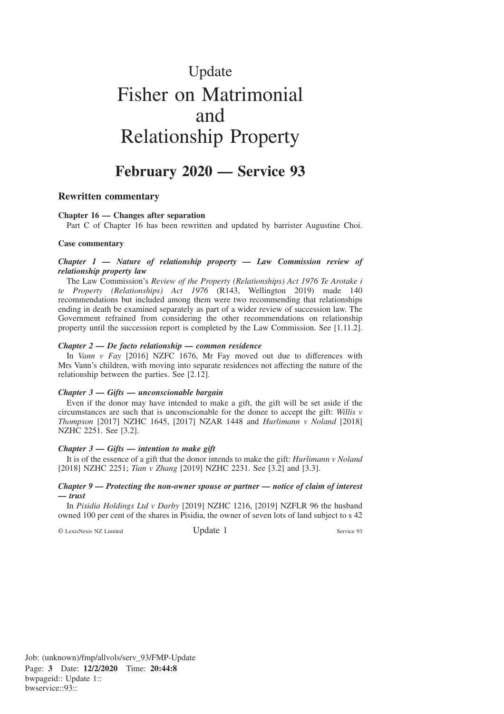# Update Fisher on Matrimonial and Relationship Property

# **February 2020 — Service 93**

# **Rewritten commentary**

#### **Chapter 16 — Changes after separation**

Part C of Chapter 16 has been rewritten and updated by barrister Augustine Choi.

#### **Case commentary**

#### *Chapter 1 — Nature of relationship property — Law Commission review of relationship property law*

The Law Commission's *Review of the Property (Relationships) Act 1976 Te Arotake i te Property (Relationships) Act 1976* (R143, Wellington 2019) made 140 recommendations but included among them were two recommending that relationships ending in death be examined separately as part of a wider review of succession law. The Government refrained from considering the other recommendations on relationship property until the succession report is completed by the Law Commission. See [1.11.2].

#### *Chapter 2 — De facto relationship — common residence*

In *Vann v Fay* [2016] NZFC 1676, Mr Fay moved out due to differences with Mrs Vann's children, with moving into separate residences not affecting the nature of the relationship between the parties. See [2.12].

#### *Chapter 3 — Gifts — unconscionable bargain*

Even if the donor may have intended to make a gift, the gift will be set aside if the circumstances are such that is unconscionable for the donee to accept the gift: *Willis v Thompson* [2017] NZHC 1645, [2017] NZAR 1448 and *Hurlimann v Noland* [2018] NZHC 2251. See [3.2].

#### *Chapter 3 — Gifts — intention to make gift*

It is of the essence of a gift that the donor intends to make the gift: *Hurlimann v Noland* [2018] NZHC 2251; *Tian v Zhang* [2019] NZHC 2231. See [3.2] and [3.3].

#### *Chapter 9 — Protecting the non-owner spouse or partner — notice of claim of interest — trust*

In *Pisidia Holdings Ltd v Darby* [2019] NZHC 1216, [2019] NZFLR 96 the husband owned 100 per cent of the shares in Pisidia, the owner of seven lots of land subject to s 42

© LexisNexis NZ Limited Update 1 Service 93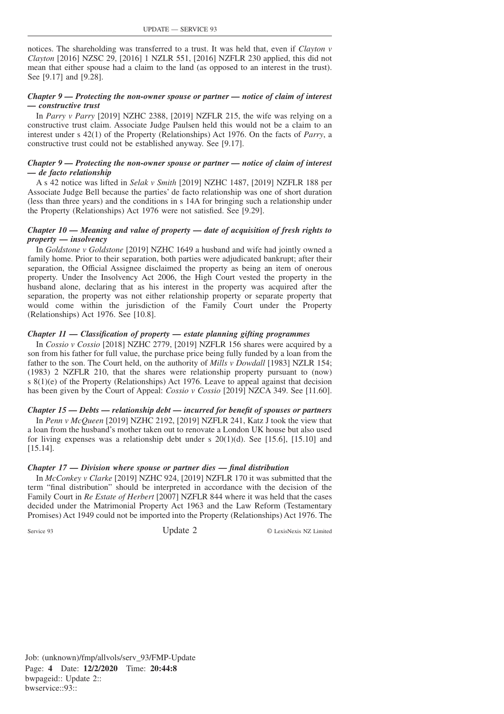notices. The shareholding was transferred to a trust. It was held that, even if *Clayton v Clayton* [2016] NZSC 29, [2016] 1 NZLR 551, [2016] NZFLR 230 applied, this did not mean that either spouse had a claim to the land (as opposed to an interest in the trust). See [9.17] and [9.28].

# *Chapter 9 — Protecting the non-owner spouse or partner — notice of claim of interest — constructive trust*

In *Parry v Parry* [2019] NZHC 2388, [2019] NZFLR 215, the wife was relying on a constructive trust claim. Associate Judge Paulsen held this would not be a claim to an interest under s 42(1) of the Property (Relationships) Act 1976. On the facts of *Parry*, a constructive trust could not be established anyway. See [9.17].

#### *Chapter 9 — Protecting the non-owner spouse or partner — notice of claim of interest — de facto relationship*

A s 42 notice was lifted in *Selak v Smith* [2019] NZHC 1487, [2019] NZFLR 188 per Associate Judge Bell because the parties' de facto relationship was one of short duration (less than three years) and the conditions in s 14A for bringing such a relationship under the Property (Relationships) Act 1976 were not satisfied. See [9.29].

#### *Chapter 10 — Meaning and value of property — date of acquisition of fresh rights to property — insolvency*

In *Goldstone v Goldstone* [2019] NZHC 1649 a husband and wife had jointly owned a family home. Prior to their separation, both parties were adjudicated bankrupt; after their separation, the Official Assignee disclaimed the property as being an item of onerous property. Under the Insolvency Act 2006, the High Court vested the property in the husband alone, declaring that as his interest in the property was acquired after the separation, the property was not either relationship property or separate property that would come within the jurisdiction of the Family Court under the Property (Relationships) Act 1976. See [10.8].

#### *Chapter 11 — Classification of property — estate planning gifting programmes*

In *Cossio v Cossio* [2018] NZHC 2779, [2019] NZFLR 156 shares were acquired by a son from his father for full value, the purchase price being fully funded by a loan from the father to the son. The Court held, on the authority of *Mills v Dowdall* [1983] NZLR 154; (1983) 2 NZFLR 210, that the shares were relationship property pursuant to (now) s 8(1)(e) of the Property (Relationships) Act 1976. Leave to appeal against that decision has been given by the Court of Appeal: *Cossio v Cossio* [2019] NZCA 349. See [11.60].

# *Chapter 15 — Debts — relationship debt — incurred for benefit of spouses or partners*

In *Penn v McQueen* [2019] NZHC 2192, [2019] NZFLR 241, Katz J took the view that a loan from the husband's mother taken out to renovate a London UK house but also used for living expenses was a relationship debt under s  $20(1)(d)$ . See [15.6], [15.10] and [15.14].

# *Chapter 17 — Division where spouse or partner dies — final distribution*

In *McConkey v Clarke* [2019] NZHC 924, [2019] NZFLR 170 it was submitted that the term "final distribution" should be interpreted in accordance with the decision of the Family Court in *Re Estate of Herbert* [2007] NZFLR 844 where it was held that the cases decided under the Matrimonial Property Act 1963 and the Law Reform (Testamentary Promises) Act 1949 could not be imported into the Property (Relationships) Act 1976. The